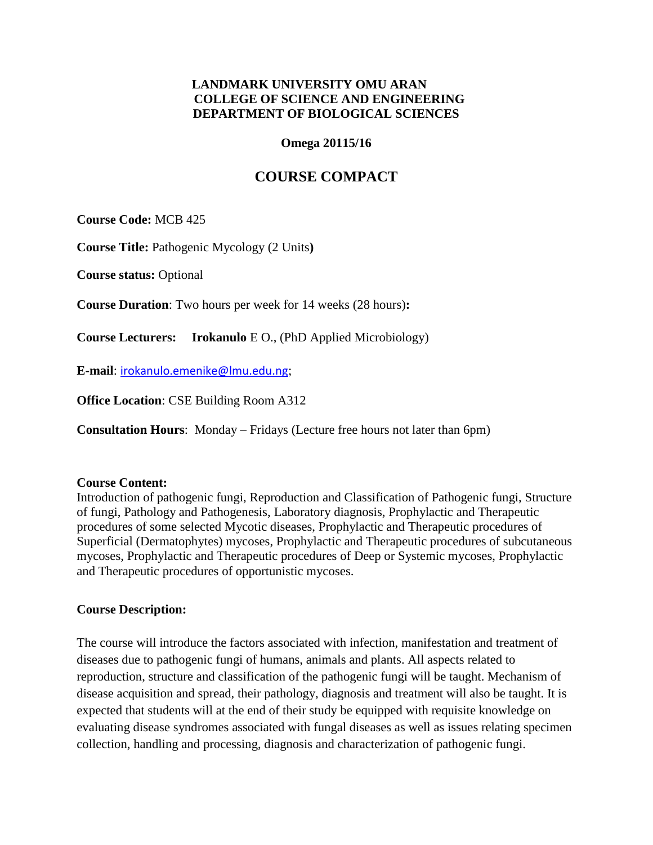## **LANDMARK UNIVERSITY OMU ARAN COLLEGE OF SCIENCE AND ENGINEERING DEPARTMENT OF BIOLOGICAL SCIENCES**

#### **Omega 20115/16**

# **COURSE COMPACT**

**Course Code:** MCB 425

**Course Title:** Pathogenic Mycology (2 Units**)**

**Course status:** Optional

**Course Duration**: Two hours per week for 14 weeks (28 hours)**:** 

**Course Lecturers: Irokanulo** E O., (PhD Applied Microbiology)

**E-mail**: [irokanulo.emenike@lmu.edu.ng](mailto:irokanulo.emenike@lmu.edu.ng);

**Office Location**: CSE Building Room A312

**Consultation Hours**: Monday – Fridays (Lecture free hours not later than 6pm)

#### **Course Content:**

Introduction of pathogenic fungi, Reproduction and Classification of Pathogenic fungi, Structure of fungi, Pathology and Pathogenesis, Laboratory diagnosis, Prophylactic and Therapeutic procedures of some selected Mycotic diseases, Prophylactic and Therapeutic procedures of Superficial (Dermatophytes) mycoses, Prophylactic and Therapeutic procedures of subcutaneous mycoses, Prophylactic and Therapeutic procedures of Deep or Systemic mycoses, Prophylactic and Therapeutic procedures of opportunistic mycoses.

#### **Course Description:**

The course will introduce the factors associated with infection, manifestation and treatment of diseases due to pathogenic fungi of humans, animals and plants. All aspects related to reproduction, structure and classification of the pathogenic fungi will be taught. Mechanism of disease acquisition and spread, their pathology, diagnosis and treatment will also be taught. It is expected that students will at the end of their study be equipped with requisite knowledge on evaluating disease syndromes associated with fungal diseases as well as issues relating specimen collection, handling and processing, diagnosis and characterization of pathogenic fungi.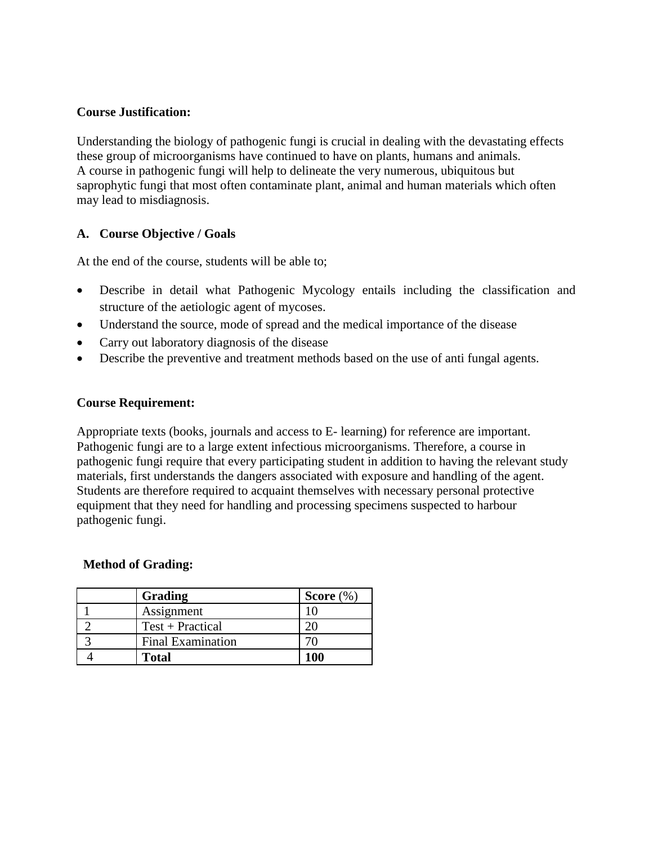#### **Course Justification:**

Understanding the biology of pathogenic fungi is crucial in dealing with the devastating effects these group of microorganisms have continued to have on plants, humans and animals. A course in pathogenic fungi will help to delineate the very numerous, ubiquitous but saprophytic fungi that most often contaminate plant, animal and human materials which often may lead to misdiagnosis.

## **A. Course Objective / Goals**

At the end of the course, students will be able to;

- Describe in detail what Pathogenic Mycology entails including the classification and structure of the aetiologic agent of mycoses.
- Understand the source, mode of spread and the medical importance of the disease
- Carry out laboratory diagnosis of the disease
- Describe the preventive and treatment methods based on the use of anti fungal agents.

#### **Course Requirement:**

Appropriate texts (books, journals and access to E- learning) for reference are important. Pathogenic fungi are to a large extent infectious microorganisms. Therefore, a course in pathogenic fungi require that every participating student in addition to having the relevant study materials, first understands the dangers associated with exposure and handling of the agent. Students are therefore required to acquaint themselves with necessary personal protective equipment that they need for handling and processing specimens suspected to harbour pathogenic fungi.

#### **Method of Grading:**

| Grading                  | Score $(\%)$ |
|--------------------------|--------------|
| Assignment               |              |
| Test + Practical         |              |
| <b>Final Examination</b> |              |
| Total                    | 100          |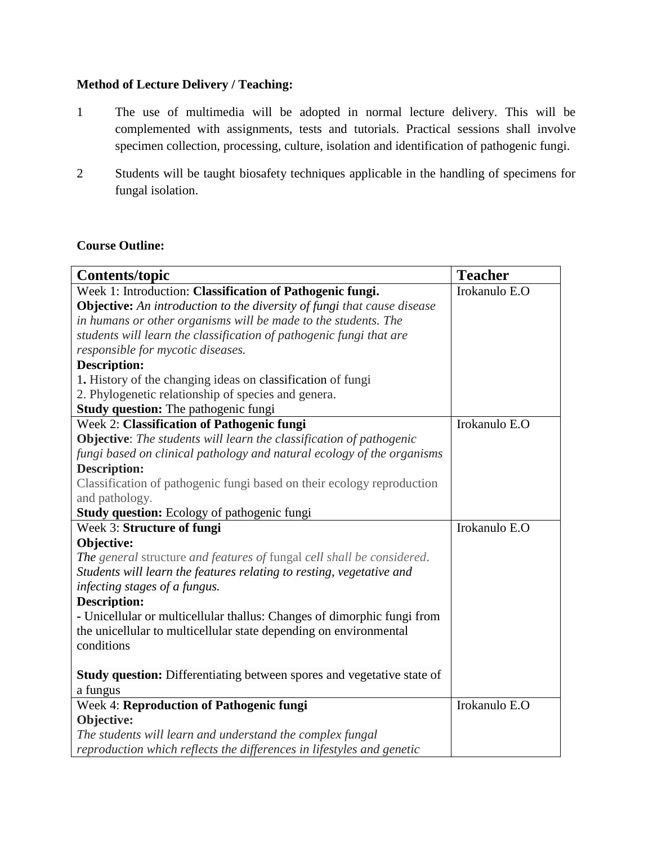## **Method of Lecture Delivery / Teaching:**

- 1 The use of multimedia will be adopted in normal lecture delivery. This will be complemented with assignments, tests and tutorials. Practical sessions shall involve specimen collection, processing, culture, isolation and identification of pathogenic fungi.
- 2 Students will be taught biosafety techniques applicable in the handling of specimens for fungal isolation.

#### **Course Outline:**

| <b>Contents/topic</b>                                                          | <b>Teacher</b> |
|--------------------------------------------------------------------------------|----------------|
| Week 1: Introduction: Classification of Pathogenic fungi.                      | Irokanulo E.O  |
| <b>Objective:</b> An introduction to the diversity of fungi that cause disease |                |
| in humans or other organisms will be made to the students. The                 |                |
| students will learn the classification of pathogenic fungi that are            |                |
| responsible for mycotic diseases.                                              |                |
| <b>Description:</b>                                                            |                |
| 1. History of the changing ideas on classification of fungi                    |                |
| 2. Phylogenetic relationship of species and genera.                            |                |
| <b>Study question:</b> The pathogenic fungi                                    |                |
| Week 2: Classification of Pathogenic fungi                                     | Irokanulo E.O  |
| <b>Objective:</b> The students will learn the classification of pathogenic     |                |
| fungi based on clinical pathology and natural ecology of the organisms         |                |
| <b>Description:</b>                                                            |                |
| Classification of pathogenic fungi based on their ecology reproduction         |                |
| and pathology.                                                                 |                |
| <b>Study question:</b> Ecology of pathogenic fungi                             |                |
| Week 3: Structure of fungi                                                     | Irokanulo E.O  |
| Objective:                                                                     |                |
| The general structure and features of fungal cell shall be considered.         |                |
| Students will learn the features relating to resting, vegetative and           |                |
| infecting stages of a fungus.                                                  |                |
| <b>Description:</b>                                                            |                |
| - Unicellular or multicellular thallus: Changes of dimorphic fungi from        |                |
| the unicellular to multicellular state depending on environmental              |                |
| conditions                                                                     |                |
|                                                                                |                |
| <b>Study question:</b> Differentiating between spores and vegetative state of  |                |
| a fungus                                                                       |                |
| Week 4: Reproduction of Pathogenic fungi                                       | Irokanulo E.O  |
| Objective:                                                                     |                |
| The students will learn and understand the complex fungal                      |                |
| reproduction which reflects the differences in lifestyles and genetic          |                |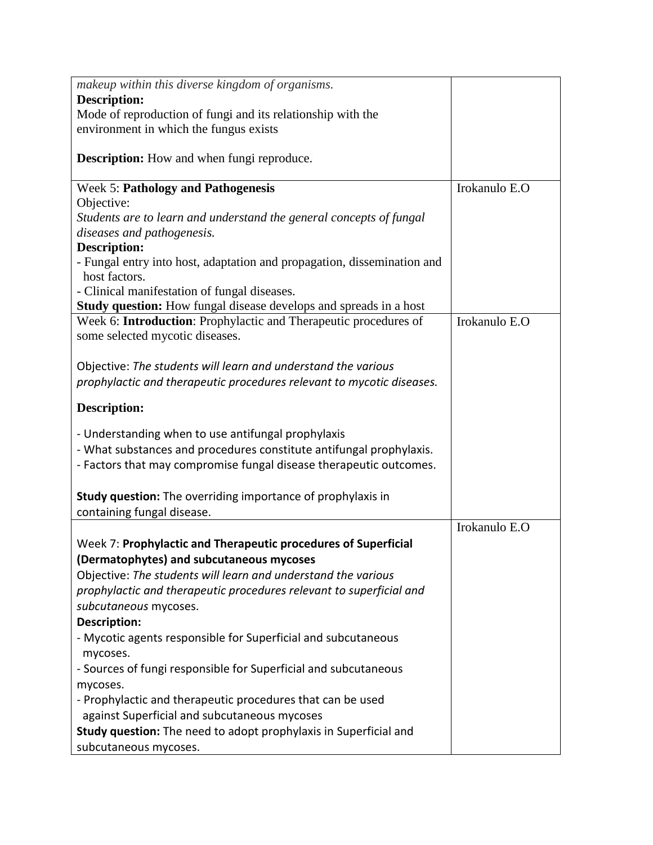| makeup within this diverse kingdom of organisms.                         |               |
|--------------------------------------------------------------------------|---------------|
| <b>Description:</b>                                                      |               |
| Mode of reproduction of fungi and its relationship with the              |               |
| environment in which the fungus exists                                   |               |
|                                                                          |               |
| <b>Description:</b> How and when fungi reproduce.                        |               |
| <b>Week 5: Pathology and Pathogenesis</b>                                | Irokanulo E.O |
| Objective:                                                               |               |
| Students are to learn and understand the general concepts of fungal      |               |
| diseases and pathogenesis.                                               |               |
| <b>Description:</b>                                                      |               |
| - Fungal entry into host, adaptation and propagation, dissemination and  |               |
| host factors.                                                            |               |
| - Clinical manifestation of fungal diseases.                             |               |
| <b>Study question:</b> How fungal disease develops and spreads in a host |               |
| Week 6: Introduction: Prophylactic and Therapeutic procedures of         | Irokanulo E.O |
| some selected mycotic diseases.                                          |               |
|                                                                          |               |
| Objective: The students will learn and understand the various            |               |
| prophylactic and therapeutic procedures relevant to mycotic diseases.    |               |
|                                                                          |               |
| <b>Description:</b>                                                      |               |
| - Understanding when to use antifungal prophylaxis                       |               |
| - What substances and procedures constitute antifungal prophylaxis.      |               |
| - Factors that may compromise fungal disease therapeutic outcomes.       |               |
|                                                                          |               |
| Study question: The overriding importance of prophylaxis in              |               |
| containing fungal disease.                                               |               |
|                                                                          | Irokanulo E.O |
| Week 7: Prophylactic and Therapeutic procedures of Superficial           |               |
| (Dermatophytes) and subcutaneous mycoses                                 |               |
| Objective: The students will learn and understand the various            |               |
| prophylactic and therapeutic procedures relevant to superficial and      |               |
|                                                                          |               |
| subcutaneous mycoses.                                                    |               |
| Description:                                                             |               |
| - Mycotic agents responsible for Superficial and subcutaneous            |               |
| mycoses.                                                                 |               |
| - Sources of fungi responsible for Superficial and subcutaneous          |               |
| mycoses.                                                                 |               |
| - Prophylactic and therapeutic procedures that can be used               |               |
| against Superficial and subcutaneous mycoses                             |               |
| Study question: The need to adopt prophylaxis in Superficial and         |               |
| subcutaneous mycoses.                                                    |               |